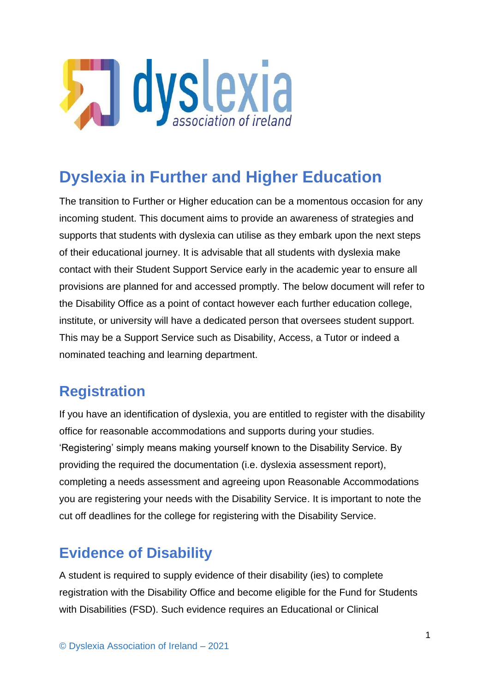

# **Dyslexia in Further and Higher Education**

The transition to Further or Higher education can be a momentous occasion for any incoming student. This document aims to provide an awareness of strategies and supports that students with dyslexia can utilise as they embark upon the next steps of their educational journey. It is advisable that all students with dyslexia make contact with their Student Support Service early in the academic year to ensure all provisions are planned for and accessed promptly. The below document will refer to the Disability Office as a point of contact however each further education college, institute, or university will have a dedicated person that oversees student support. This may be a Support Service such as Disability, Access, a Tutor or indeed a nominated teaching and learning department.

## **Registration**

If you have an identification of dyslexia, you are entitled to register with the disability office for reasonable accommodations and supports during your studies. 'Registering' simply means making yourself known to the Disability Service. By providing the required the documentation (i.e. dyslexia assessment report), completing a needs assessment and agreeing upon Reasonable Accommodations you are registering your needs with the Disability Service. It is important to note the cut off deadlines for the college for registering with the Disability Service.

## **Evidence of Disability**

A student is required to supply evidence of their disability (ies) to complete registration with the Disability Office and become eligible for the Fund for Students with Disabilities (FSD). Such evidence requires an Educational or Clinical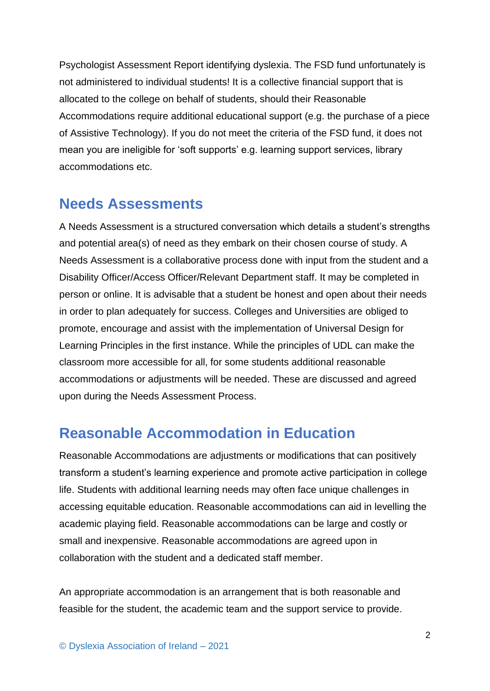Psychologist Assessment Report identifying dyslexia. The FSD fund unfortunately is not administered to individual students! It is a collective financial support that is allocated to the college on behalf of students, should their Reasonable Accommodations require additional educational support (e.g. the purchase of a piece of Assistive Technology). If you do not meet the criteria of the FSD fund, it does not mean you are ineligible for 'soft supports' e.g. learning support services, library accommodations etc.

### **Needs Assessments**

A Needs Assessment is a structured conversation which details a student's strengths and potential area(s) of need as they embark on their chosen course of study. A Needs Assessment is a collaborative process done with input from the student and a Disability Officer/Access Officer/Relevant Department staff. It may be completed in person or online. It is advisable that a student be honest and open about their needs in order to plan adequately for success. Colleges and Universities are obliged to promote, encourage and assist with the implementation of Universal Design for Learning Principles in the first instance. While the principles of UDL can make the classroom more accessible for all, for some students additional reasonable accommodations or adjustments will be needed. These are discussed and agreed upon during the Needs Assessment Process.

## **Reasonable Accommodation in Education**

Reasonable Accommodations are adjustments or modifications that can positively transform a student's learning experience and promote active participation in college life. Students with additional learning needs may often face unique challenges in accessing equitable education. Reasonable accommodations can aid in levelling the academic playing field. Reasonable accommodations can be large and costly or small and inexpensive. Reasonable accommodations are agreed upon in collaboration with the student and a dedicated staff member.

An appropriate accommodation is an arrangement that is both reasonable and feasible for the student, the academic team and the support service to provide.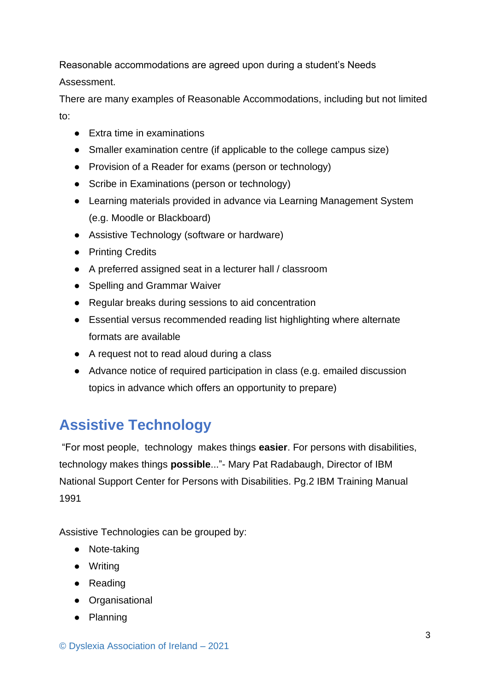Reasonable accommodations are agreed upon during a student's Needs Assessment.

There are many examples of Reasonable Accommodations, including but not limited to:

- Extra time in examinations
- Smaller examination centre (if applicable to the college campus size)
- Provision of a Reader for exams (person or technology)
- Scribe in Examinations (person or technology)
- Learning materials provided in advance via Learning Management System (e.g. Moodle or Blackboard)
- Assistive Technology (software or hardware)
- Printing Credits
- A preferred assigned seat in a lecturer hall / classroom
- Spelling and Grammar Waiver
- Regular breaks during sessions to aid concentration
- Essential versus recommended reading list highlighting where alternate formats are available
- A request not to read aloud during a class
- Advance notice of required participation in class (e.g. emailed discussion topics in advance which offers an opportunity to prepare)

## **Assistive Technology**

"For most people, technology makes things **easier**. For persons with disabilities, technology makes things **possible**..."- Mary Pat Radabaugh, Director of IBM National Support Center for Persons with Disabilities. Pg.2 IBM Training Manual 1991

Assistive Technologies can be grouped by:

- Note-taking
- Writing
- Reading
- Organisational
- Planning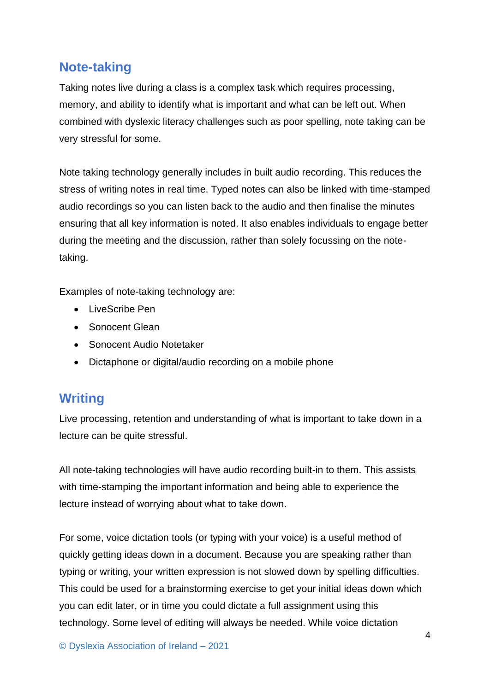#### **Note-taking**

Taking notes live during a class is a complex task which requires processing, memory, and ability to identify what is important and what can be left out. When combined with dyslexic literacy challenges such as poor spelling, note taking can be very stressful for some.

Note taking technology generally includes in built audio recording. This reduces the stress of writing notes in real time. Typed notes can also be linked with time-stamped audio recordings so you can listen back to the audio and then finalise the minutes ensuring that all key information is noted. It also enables individuals to engage better during the meeting and the discussion, rather than solely focussing on the notetaking.

Examples of note-taking technology are:

- LiveScribe Pen
- Sonocent Glean
- Sonocent Audio Notetaker
- Dictaphone or digital/audio recording on a mobile phone

#### **Writing**

Live processing, retention and understanding of what is important to take down in a lecture can be quite stressful.

All note-taking technologies will have audio recording built-in to them. This assists with time-stamping the important information and being able to experience the lecture instead of worrying about what to take down.

For some, voice dictation tools (or typing with your voice) is a useful method of quickly getting ideas down in a document. Because you are speaking rather than typing or writing, your written expression is not slowed down by spelling difficulties. This could be used for a brainstorming exercise to get your initial ideas down which you can edit later, or in time you could dictate a full assignment using this technology. Some level of editing will always be needed. While voice dictation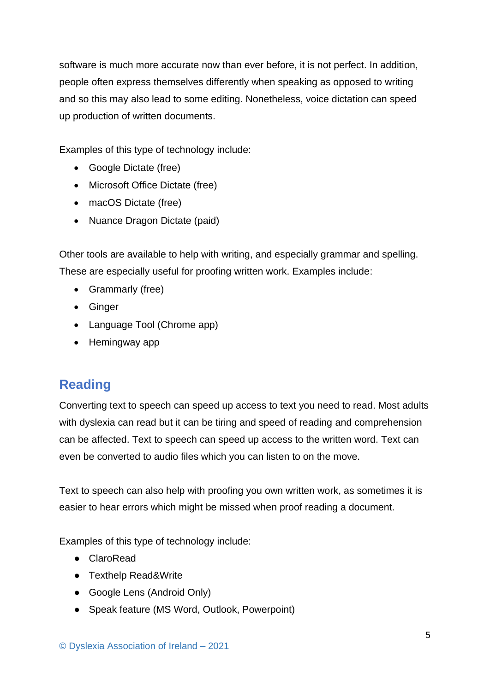software is much more accurate now than ever before, it is not perfect. In addition, people often express themselves differently when speaking as opposed to writing and so this may also lead to some editing. Nonetheless, voice dictation can speed up production of written documents.

Examples of this type of technology include:

- Google Dictate (free)
- Microsoft Office Dictate (free)
- macOS Dictate (free)
- Nuance Dragon Dictate (paid)

Other tools are available to help with writing, and especially grammar and spelling. These are especially useful for proofing written work. Examples include:

- Grammarly (free)
- Ginger
- Language Tool (Chrome app)
- Hemingway app

### **Reading**

Converting text to speech can speed up access to text you need to read. Most adults with dyslexia can read but it can be tiring and speed of reading and comprehension can be affected. Text to speech can speed up access to the written word. Text can even be converted to audio files which you can listen to on the move.

Text to speech can also help with proofing you own written work, as sometimes it is easier to hear errors which might be missed when proof reading a document.

Examples of this type of technology include:

- ClaroRead
- Texthelp Read&Write
- Google Lens (Android Only)
- Speak feature (MS Word, Outlook, Powerpoint)